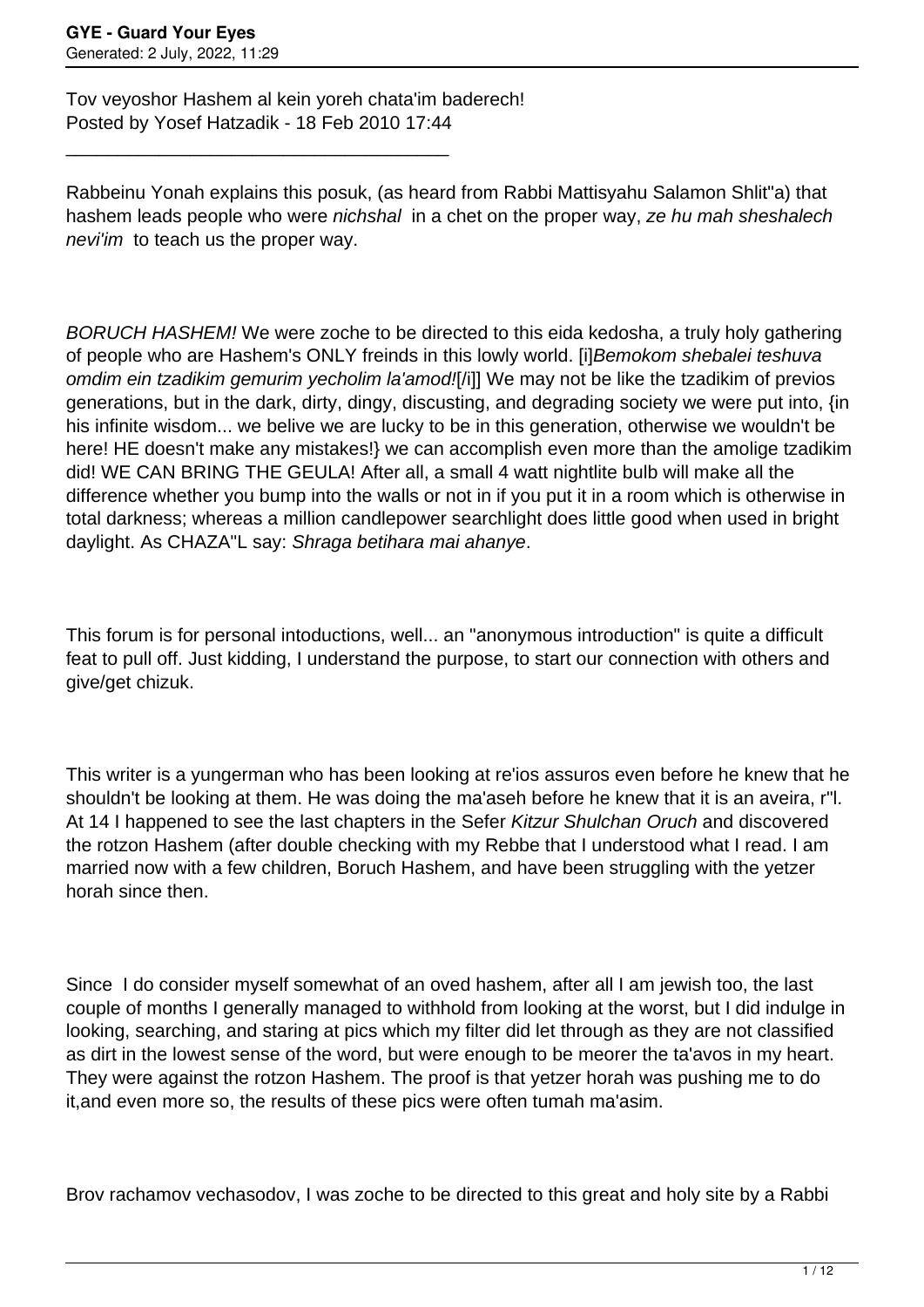Tov veyoshor Hashem al kein yoreh chata'im baderech! Posted by Yosef Hatzadik - 18 Feb 2010 17:44

\_\_\_\_\_\_\_\_\_\_\_\_\_\_\_\_\_\_\_\_\_\_\_\_\_\_\_\_\_\_\_\_\_\_\_\_\_

Rabbeinu Yonah explains this posuk, (as heard from Rabbi Mattisyahu Salamon Shlit"a) that hashem leads people who were *nichshal* in a chet on the proper way, ze hu mah sheshalech nevi'im to teach us the proper way.

BORUCH HASHEM! We were zoche to be directed to this eida kedosha, a truly holy gathering of people who are Hashem's ONLY freinds in this lowly world. [i]Bemokom shebalei teshuva omdim ein tzadikim gemurim yecholim la'amod![/i]] We may not be like the tzadikim of previos generations, but in the dark, dirty, dingy, discusting, and degrading society we were put into, {in his infinite wisdom... we belive we are lucky to be in this generation, otherwise we wouldn't be here! HE doesn't make any mistakes!} we can accomplish even more than the amolige tzadikim did! WE CAN BRING THE GEULA! After all, a small 4 watt nightlite bulb will make all the difference whether you bump into the walls or not in if you put it in a room which is otherwise in total darkness; whereas a million candlepower searchlight does little good when used in bright daylight. As CHAZA"L say: Shraga betihara mai ahanye.

This forum is for personal intoductions, well... an "anonymous introduction" is quite a difficult feat to pull off. Just kidding, I understand the purpose, to start our connection with others and give/get chizuk.

This writer is a yungerman who has been looking at re'ios assuros even before he knew that he shouldn't be looking at them. He was doing the ma'aseh before he knew that it is an aveira, r"l. At 14 I happened to see the last chapters in the Sefer Kitzur Shulchan Oruch and discovered the rotzon Hashem (after double checking with my Rebbe that I understood what I read. I am married now with a few children, Boruch Hashem, and have been struggling with the yetzer horah since then.

Since I do consider myself somewhat of an oved hashem, after all I am jewish too, the last couple of months I generally managed to withhold from looking at the worst, but I did indulge in looking, searching, and staring at pics which my filter did let through as they are not classified as dirt in the lowest sense of the word, but were enough to be meorer the ta'avos in my heart. They were against the rotzon Hashem. The proof is that yetzer horah was pushing me to do it,and even more so, the results of these pics were often tumah ma'asim.

Brov rachamov vechasodov, I was zoche to be directed to this great and holy site by a Rabbi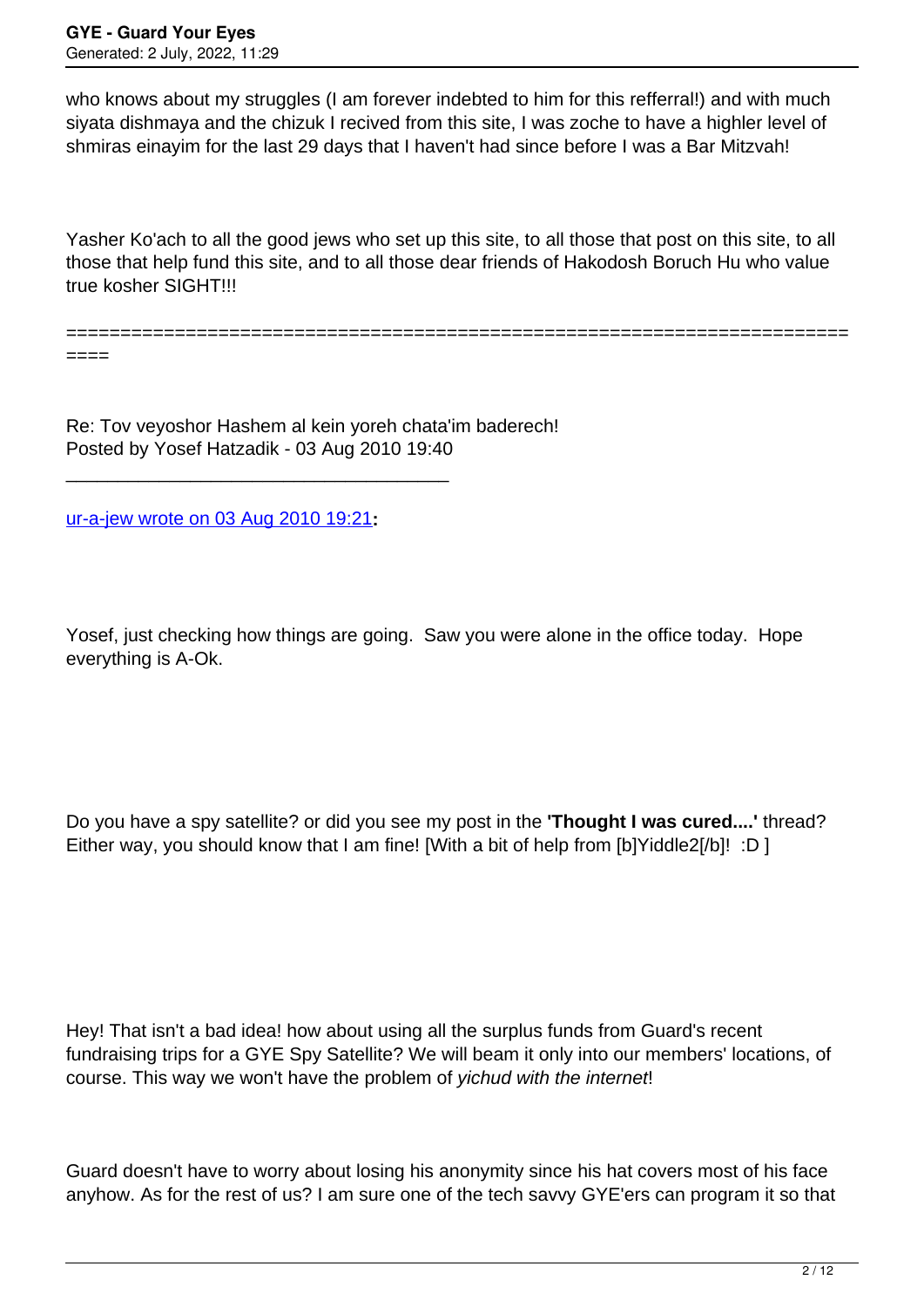who knows about my struggles (I am forever indebted to him for this refferral!) and with much siyata dishmaya and the chizuk I recived from this site, I was zoche to have a highler level of shmiras einayim for the last 29 days that I haven't had since before I was a Bar Mitzvah!

Yasher Ko'ach to all the good jews who set up this site, to all those that post on this site, to all those that help fund this site, and to all those dear friends of Hakodosh Boruch Hu who value true kosher SIGHT!!!

========================================================================

====

Re: Tov veyoshor Hashem al kein yoreh chata'im baderech! Posted by Yosef Hatzadik - 03 Aug 2010 19:40

[ur-a-jew wrote on 03 Aug 2010 19:21](/forum/id-)**:**

\_\_\_\_\_\_\_\_\_\_\_\_\_\_\_\_\_\_\_\_\_\_\_\_\_\_\_\_\_\_\_\_\_\_\_\_\_

Yosef, just checking how things are going. Saw you were alone in the office today. Hope everything is A-Ok.

Do you have a spy satellite? or did you see my post in the **'Thought I was cured....'** thread? Either way, you should know that I am fine! [With a bit of help from [b]Yiddle2[/b]! :D ]

Hey! That isn't a bad idea! how about using all the surplus funds from Guard's recent fundraising trips for a GYE Spy Satellite? We will beam it only into our members' locations, of course. This way we won't have the problem of yichud with the internet!

Guard doesn't have to worry about losing his anonymity since his hat covers most of his face anyhow. As for the rest of us? I am sure one of the tech savvy GYE'ers can program it so that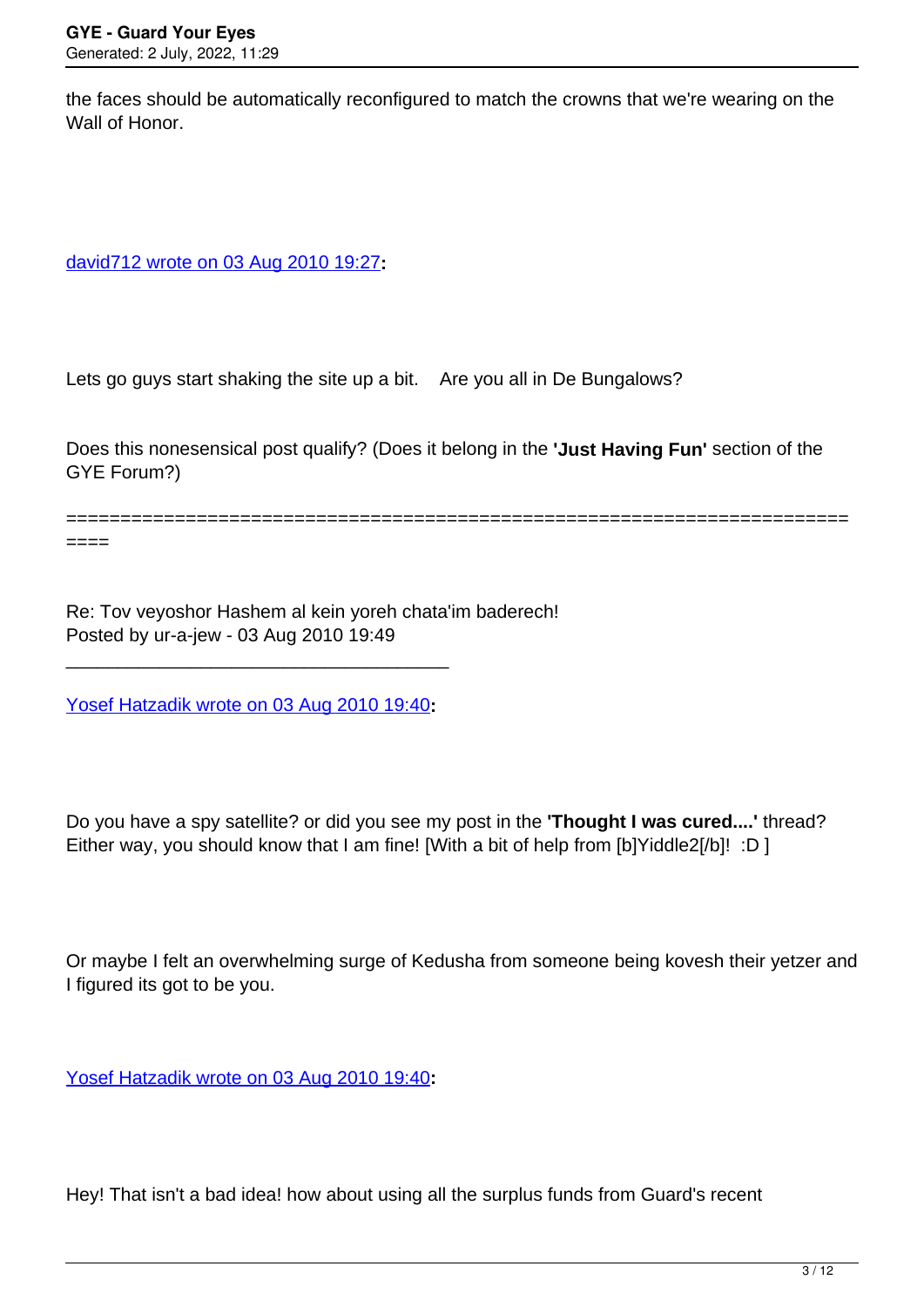the faces should be automatically reconfigured to match the crowns that we're wearing on the Wall of Honor.

[david712 wrote on 03 Aug 2010 19:27](/forum/id-)**:**

Lets go guys start shaking the site up a bit. Are you all in De Bungalows?

Does this nonesensical post qualify? (Does it belong in the **'Just Having Fun'** section of the GYE Forum?)

========================================================================

====

Re: Tov veyoshor Hashem al kein yoreh chata'im baderech! Posted by ur-a-jew - 03 Aug 2010 19:49

[Yosef Hatzadik wrote on 03 Aug 2010 19:40](/forum/id-)**:**

\_\_\_\_\_\_\_\_\_\_\_\_\_\_\_\_\_\_\_\_\_\_\_\_\_\_\_\_\_\_\_\_\_\_\_\_\_

Do you have a spy satellite? or did you see my post in the **'Thought I was cured....'** thread? Either way, you should know that I am fine! [With a bit of help from [b]Yiddle2[/b]! :D ]

Or maybe I felt an overwhelming surge of Kedusha from someone being kovesh their yetzer and I figured its got to be you.

[Yosef Hatzadik wrote on 03 Aug 2010 19:40](/forum/id-)**:**

Hey! That isn't a bad idea! how about using all the surplus funds from Guard's recent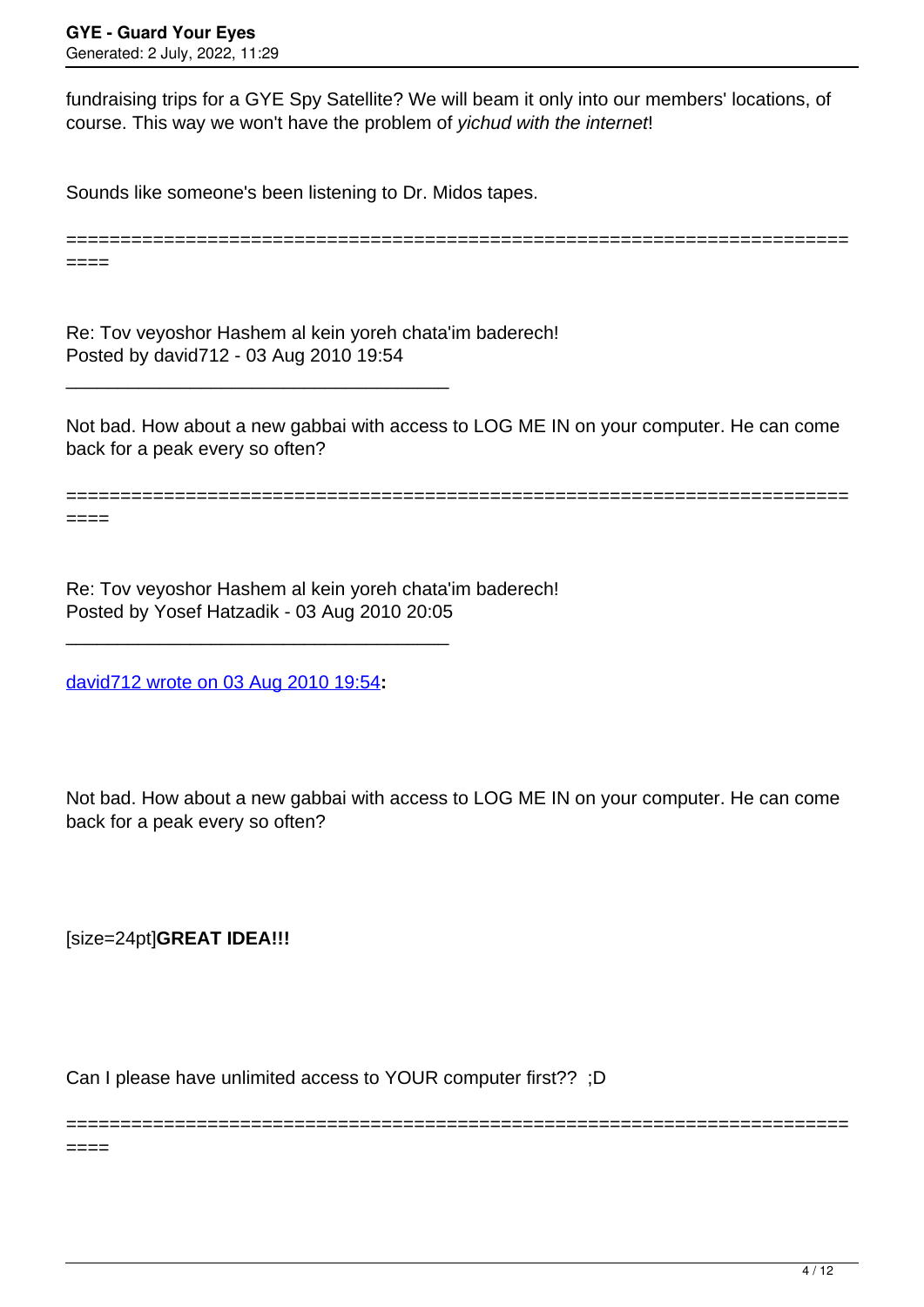fundraising trips for a GYE Spy Satellite? We will beam it only into our members' locations, of course. This way we won't have the problem of yichud with the internet!

Sounds like someone's been listening to Dr. Midos tapes.

============================== ====

Re: Tov veyoshor Hashem al kein yoreh chata'im baderech! Posted by david712 - 03 Aug 2010 19:54

\_\_\_\_\_\_\_\_\_\_\_\_\_\_\_\_\_\_\_\_\_\_\_\_\_\_\_\_\_\_\_\_\_\_\_\_\_

Not bad. How about a new gabbai with access to LOG ME IN on your computer. He can come back for a peak every so often?

======================================================================== ====

Re: Tov veyoshor Hashem al kein yoreh chata'im baderech! Posted by Yosef Hatzadik - 03 Aug 2010 20:05

[david712 wrote on 03 Aug 2010 19:54](/forum/id-)**:**

\_\_\_\_\_\_\_\_\_\_\_\_\_\_\_\_\_\_\_\_\_\_\_\_\_\_\_\_\_\_\_\_\_\_\_\_\_

Not bad. How about a new gabbai with access to LOG ME IN on your computer. He can come back for a peak every so often?

========================================================================

[size=24pt]**GREAT IDEA!!!**

 $====$ 

Can I please have unlimited access to YOUR computer first?? ;D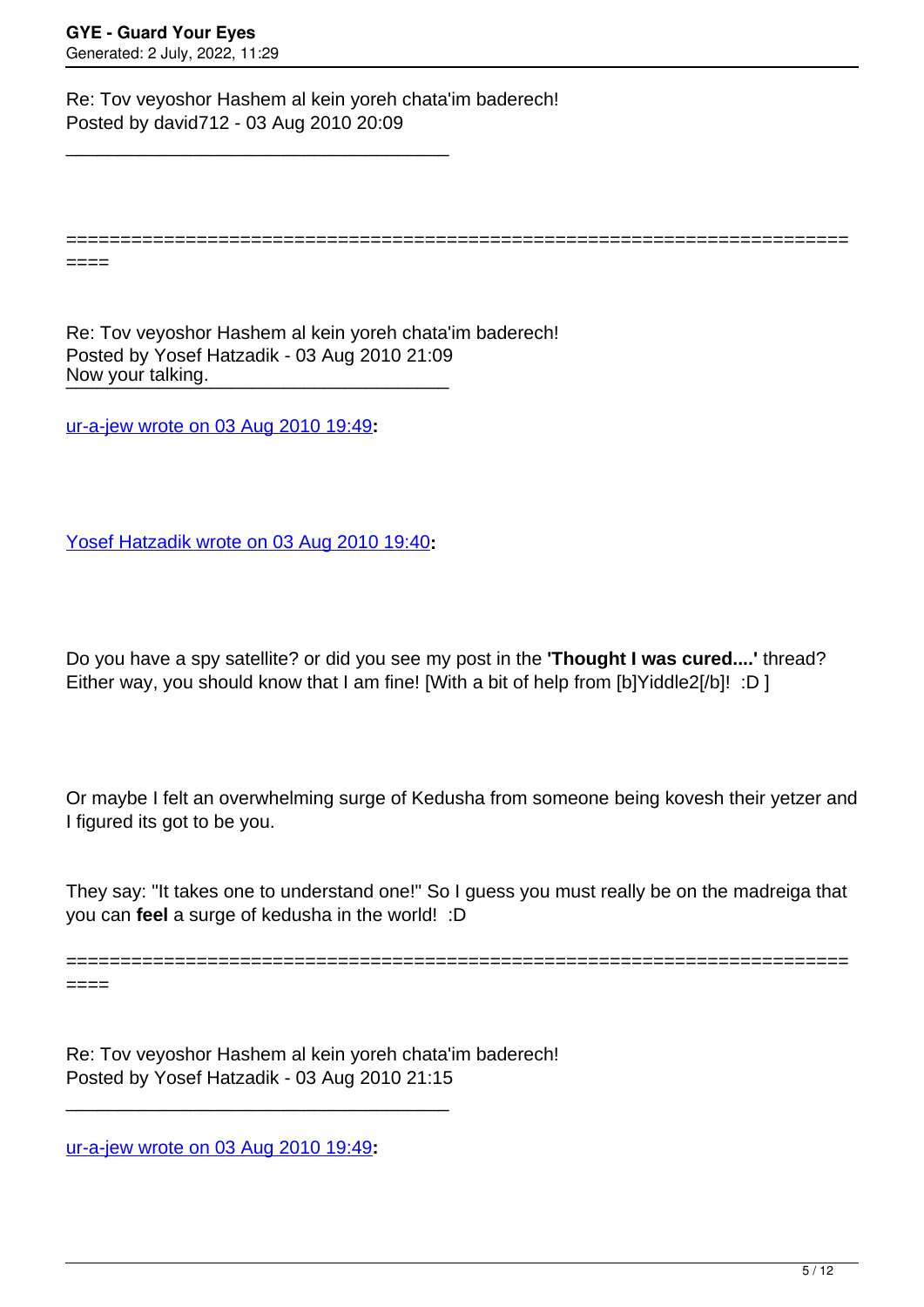====

Re: Tov veyoshor Hashem al kein yoreh chata'im baderech! Posted by david712 - 03 Aug 2010 20:09

\_\_\_\_\_\_\_\_\_\_\_\_\_\_\_\_\_\_\_\_\_\_\_\_\_\_\_\_\_\_\_\_\_\_\_\_\_

Now your talking. Re: Tov veyoshor Hashem al kein yoreh chata'im baderech! Posted by Yosef Hatzadik - 03 Aug 2010 21:09

[ur-a-jew wrote on 03 Aug 2010 19:49](/forum/id-)**:**

[Yosef Hatzadik wrote on 03 Aug 2010 19:40](/forum/id-)**:**

Do you have a spy satellite? or did you see my post in the **'Thought I was cured....'** thread? Either way, you should know that I am fine! [With a bit of help from [b]Yiddle2[/b]! :D ]

========================================================================

Or maybe I felt an overwhelming surge of Kedusha from someone being kovesh their yetzer and I figured its got to be you.

They say: "It takes one to understand one!" So I guess you must really be on the madreiga that you can **feel** a surge of kedusha in the world! :D

======================================================================== ====

Re: Tov veyoshor Hashem al kein yoreh chata'im baderech! Posted by Yosef Hatzadik - 03 Aug 2010 21:15

[ur-a-jew wrote on 03 Aug 2010 19:49](/forum/id-)**:**

\_\_\_\_\_\_\_\_\_\_\_\_\_\_\_\_\_\_\_\_\_\_\_\_\_\_\_\_\_\_\_\_\_\_\_\_\_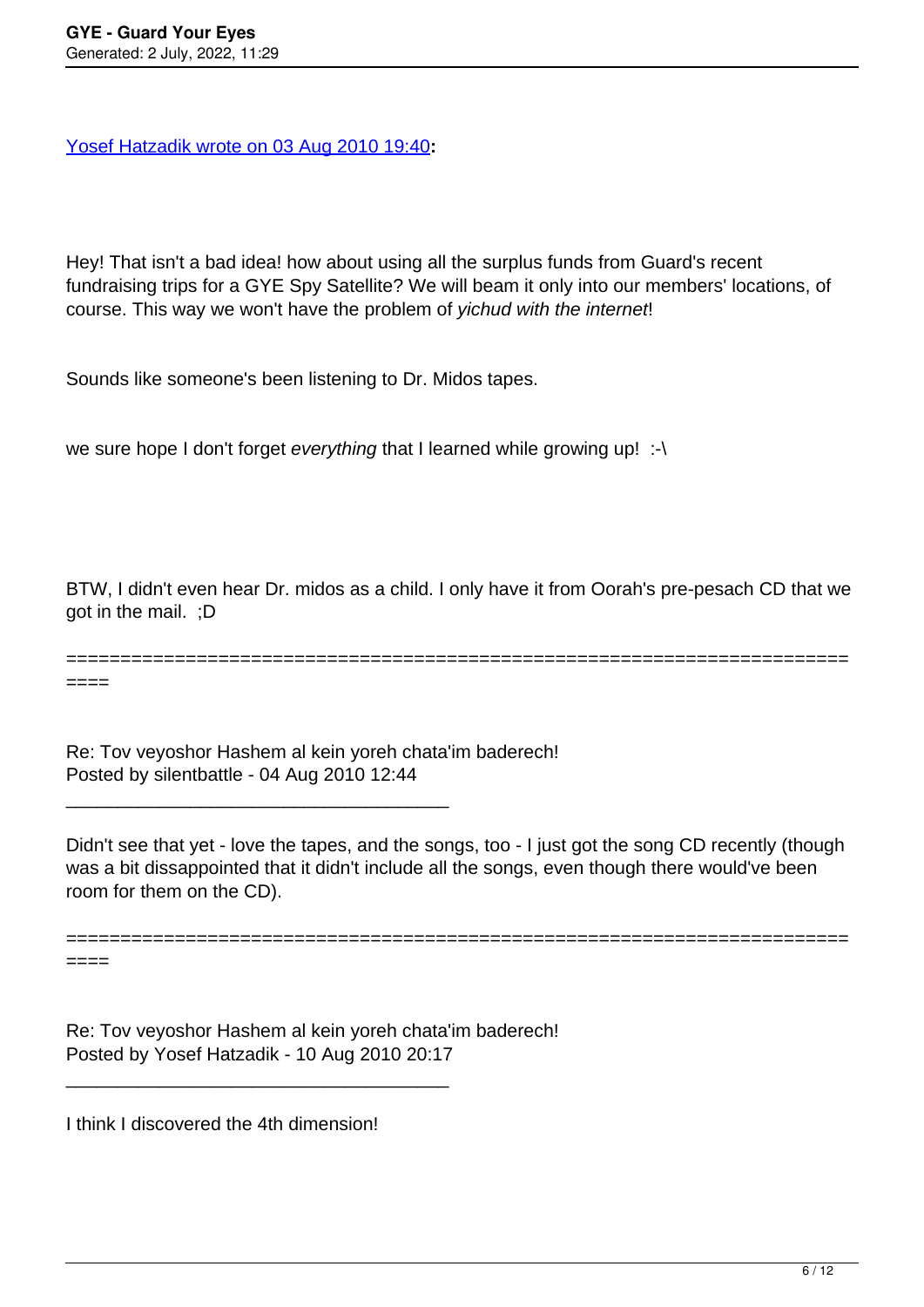[Yosef Hatzadik wrote on 03 Aug 2010 19:40](/forum/id-)**:**

Hey! That isn't a bad idea! how about using all the surplus funds from Guard's recent fundraising trips for a GYE Spy Satellite? We will beam it only into our members' locations, of course. This way we won't have the problem of yichud with the internet!

Sounds like someone's been listening to Dr. Midos tapes.

we sure hope I don't forget everything that I learned while growing up! :-\

BTW, I didn't even hear Dr. midos as a child. I only have it from Oorah's pre-pesach CD that we got in the mail. ;D

========================================================================

====

Re: Tov veyoshor Hashem al kein yoreh chata'im baderech! Posted by silentbattle - 04 Aug 2010 12:44

\_\_\_\_\_\_\_\_\_\_\_\_\_\_\_\_\_\_\_\_\_\_\_\_\_\_\_\_\_\_\_\_\_\_\_\_\_

Didn't see that yet - love the tapes, and the songs, too - I just got the song CD recently (though was a bit dissappointed that it didn't include all the songs, even though there would've been room for them on the CD).

========================================================================

====

Re: Tov veyoshor Hashem al kein yoreh chata'im baderech! Posted by Yosef Hatzadik - 10 Aug 2010 20:17

I think I discovered the 4th dimension!

\_\_\_\_\_\_\_\_\_\_\_\_\_\_\_\_\_\_\_\_\_\_\_\_\_\_\_\_\_\_\_\_\_\_\_\_\_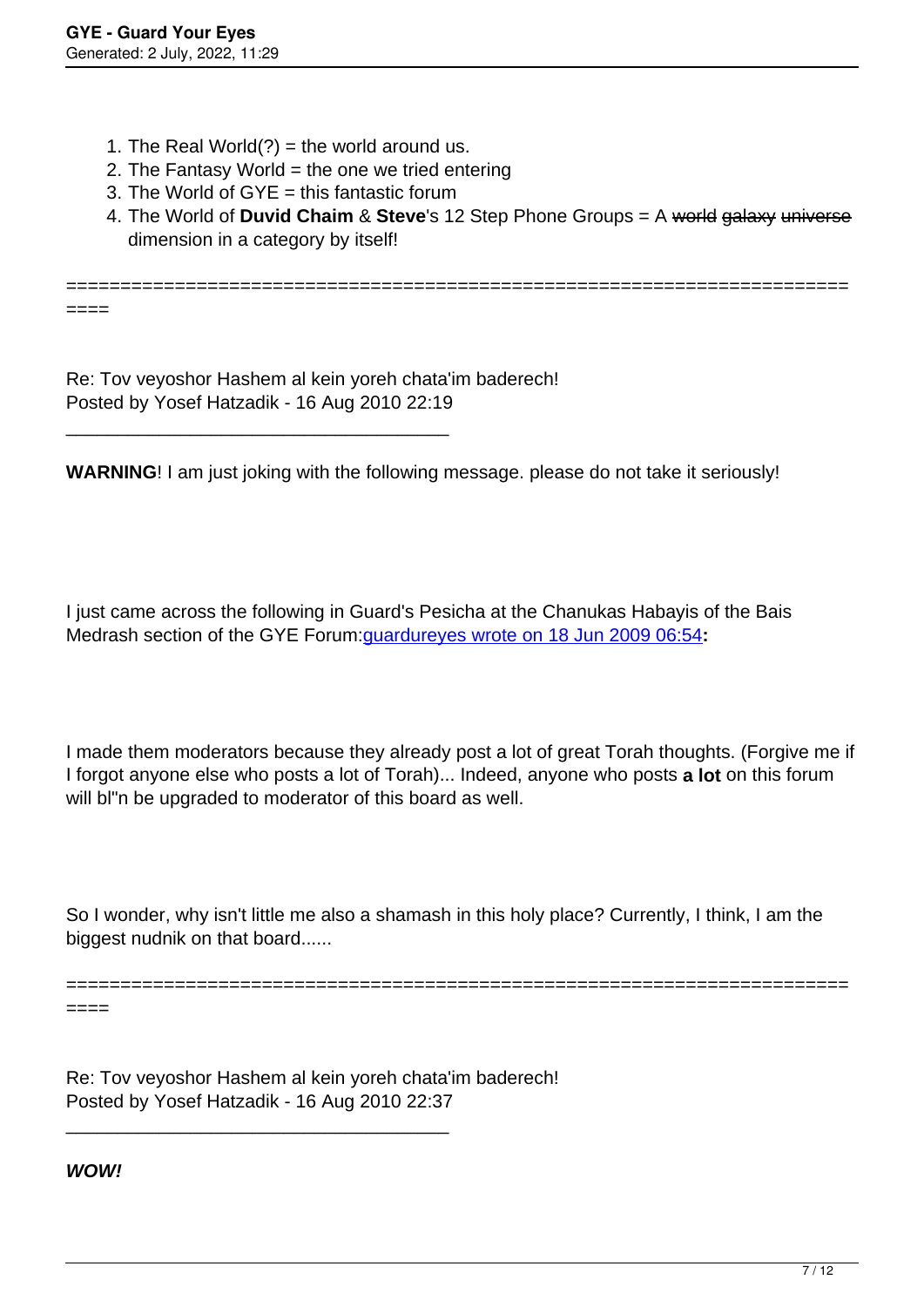====

- 1. The Real World $(?)$  = the world around us.
- 2. The Fantasy World  $=$  the one we tried entering
- 3. The World of GYE = this fantastic forum
- 4. The World of **Duvid Chaim** & **Steve**'s 12 Step Phone Groups = A world galaxy universe dimension in a category by itself!

========================================================================

Re: Tov veyoshor Hashem al kein yoreh chata'im baderech! Posted by Yosef Hatzadik - 16 Aug 2010 22:19

\_\_\_\_\_\_\_\_\_\_\_\_\_\_\_\_\_\_\_\_\_\_\_\_\_\_\_\_\_\_\_\_\_\_\_\_\_

**WARNING**! I am just joking with the following message. please do not take it seriously!

I just came across the following in Guard's Pesicha at the Chanukas Habayis of the Bais Medrash section of the GYE Forum:[guardureyes wrote on 18 Jun 2009 06:54](/forum/id-)**:**

I made them moderators because they already post a lot of great Torah thoughts. (Forgive me if I forgot anyone else who posts a lot of Torah)... Indeed, anyone who posts **a lot** on this forum will bl"n be upgraded to moderator of this board as well.

So I wonder, why isn't little me also a shamash in this holy place? Currently, I think, I am the biggest nudnik on that board......

========================================================================

====

Re: Tov veyoshor Hashem al kein yoreh chata'im baderech! Posted by Yosef Hatzadik - 16 Aug 2010 22:37

\_\_\_\_\_\_\_\_\_\_\_\_\_\_\_\_\_\_\_\_\_\_\_\_\_\_\_\_\_\_\_\_\_\_\_\_\_

**WOW!**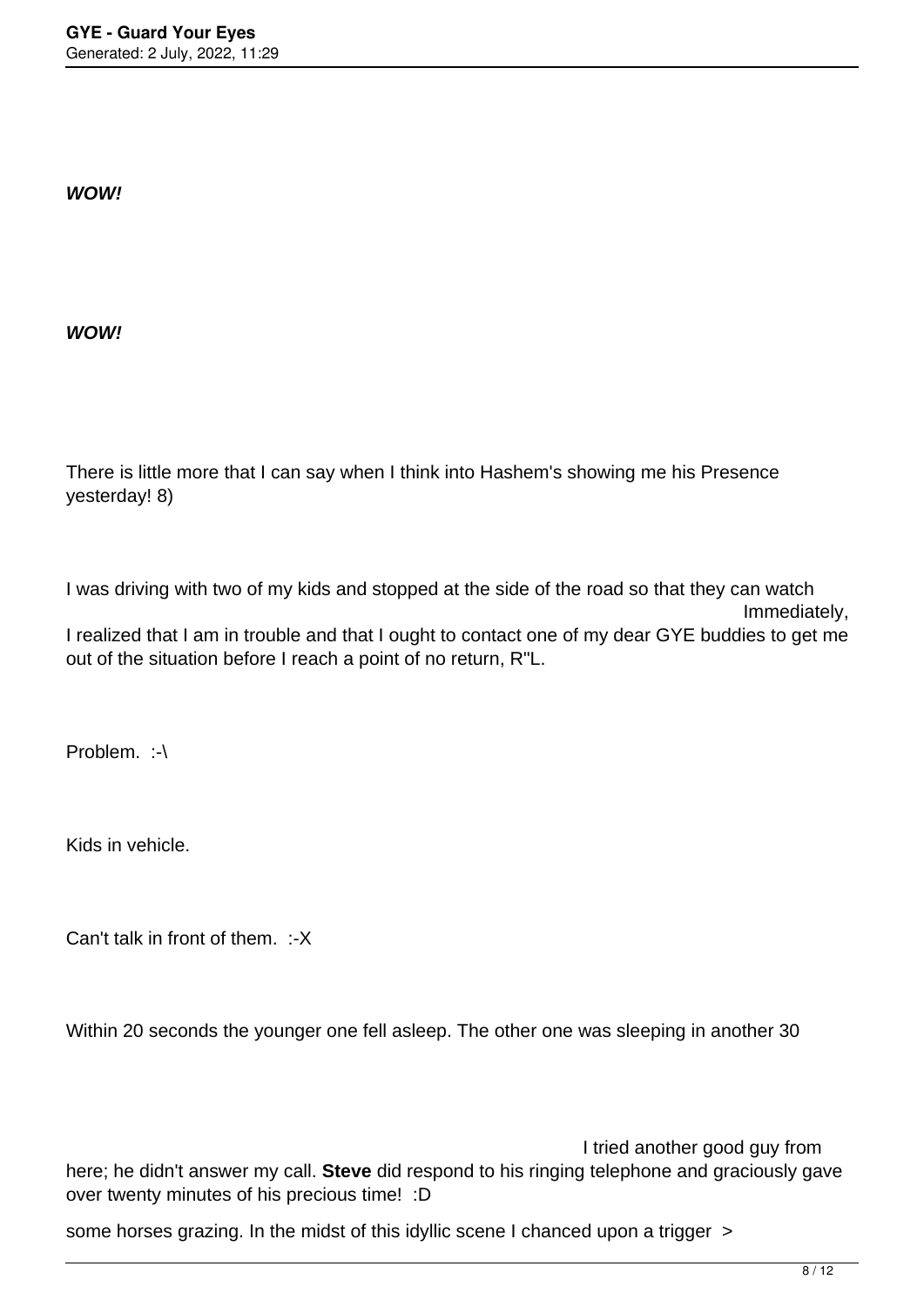**WOW!**

**WOW!**

There is little more that I can say when I think into Hashem's showing me his Presence yesterday! 8)

I was driving with two of my kids and stopped at the side of the road so that they can watch Immediately, I realized that I am in trouble and that I ought to contact one of my dear GYE buddies to get me out of the situation before I reach a point of no return, R"L.

Problem. :-\

Kids in vehicle.

Can't talk in front of them. :-X

Within 20 seconds the younger one fell asleep. The other one was sleeping in another 30

 I tried another good guy from here; he didn't answer my call. **Steve** did respond to his ringing telephone and graciously gave over twenty minutes of his precious time! :D

some horses grazing. In the midst of this idyllic scene I chanced upon a trigger >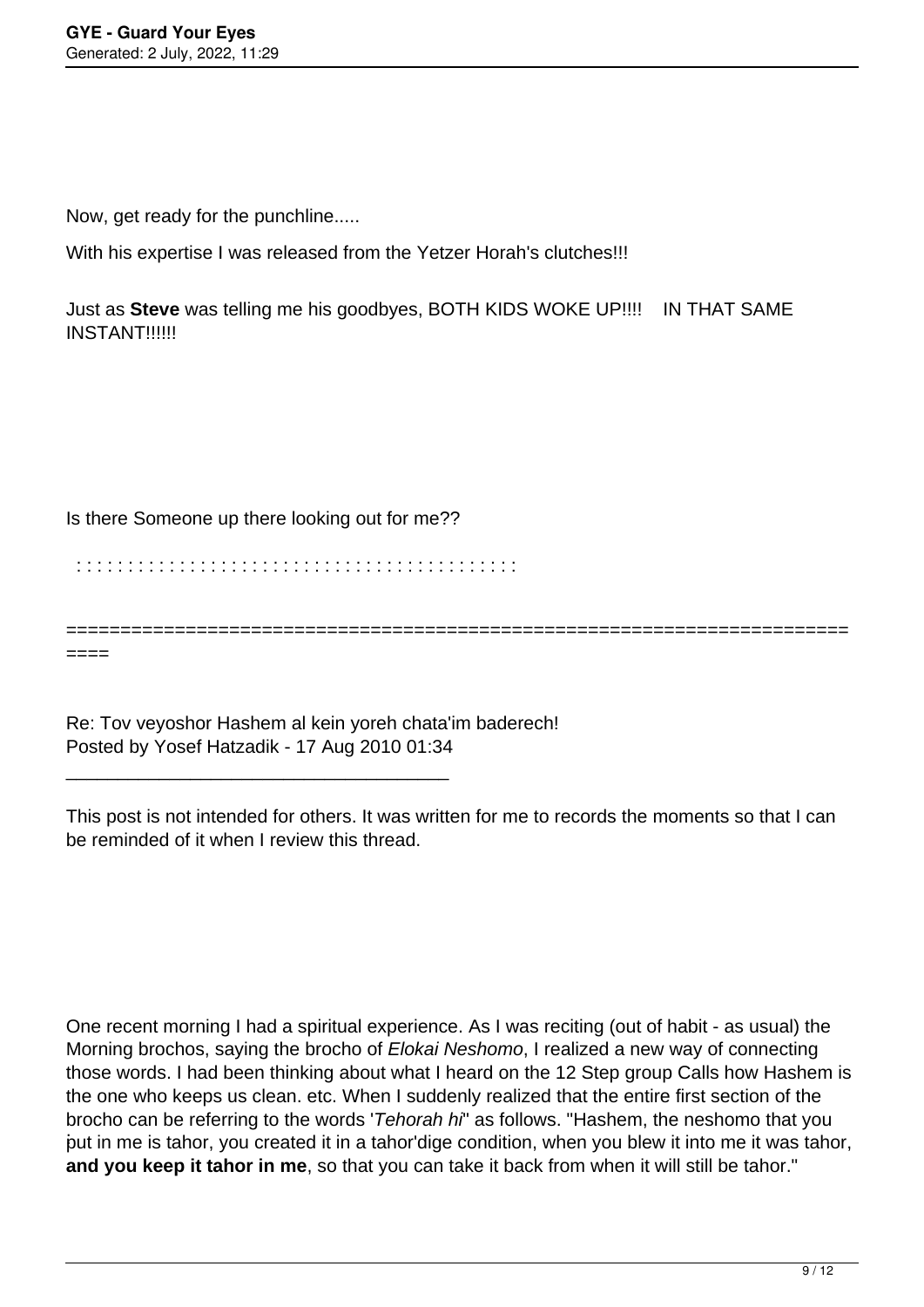Now, get ready for the punchline.....

With his expertise I was released from the Yetzer Horah's clutches!!!

Just as **Steve** was telling me his goodbyes, BOTH KIDS WOKE UP!!!! IN THAT SAME INSTANT!!!!!!

## Is there Someone up there looking out for me??

\_\_\_\_\_\_\_\_\_\_\_\_\_\_\_\_\_\_\_\_\_\_\_\_\_\_\_\_\_\_\_\_\_\_\_\_\_

: : : : : : : : : : : : : : : : : : : : : : : : : : : : : : : : : : : : : : : : : : :

====

Re: Tov veyoshor Hashem al kein yoreh chata'im baderech! Posted by Yosef Hatzadik - 17 Aug 2010 01:34

This post is not intended for others. It was written for me to records the moments so that I can be reminded of it when I review this thread.

========================================================================

: put in me is tahor, you created it in a tahor'dige condition, when you blew it into me it was tahor, One recent morning I had a spiritual experience. As I was reciting (out of habit - as usual) the Morning brochos, saying the brocho of Elokai Neshomo, I realized a new way of connecting those words. I had been thinking about what I heard on the 12 Step group Calls how Hashem is the one who keeps us clean. etc. When I suddenly realized that the entire first section of the brocho can be referring to the words 'Tehorah hi" as follows. "Hashem, the neshomo that you **and you keep it tahor in me**, so that you can take it back from when it will still be tahor."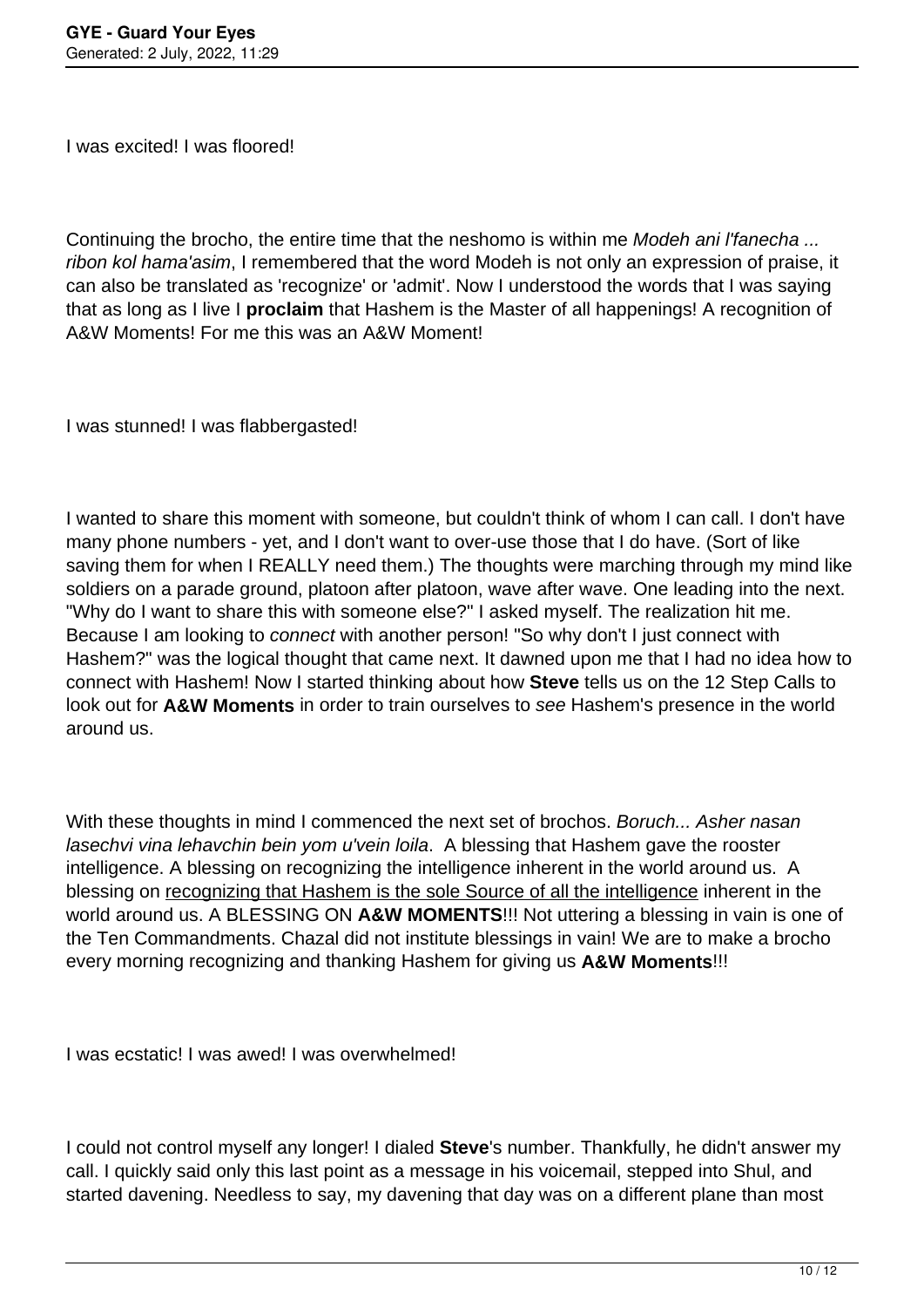I was excited! I was floored!

Continuing the brocho, the entire time that the neshomo is within me *Modeh ani l'fanecha...* ribon kol hama'asim, I remembered that the word Modeh is not only an expression of praise, it can also be translated as 'recognize' or 'admit'. Now I understood the words that I was saying that as long as I live I **proclaim** that Hashem is the Master of all happenings! A recognition of A&W Moments! For me this was an A&W Moment!

I was stunned! I was flabbergasted!

I wanted to share this moment with someone, but couldn't think of whom I can call. I don't have many phone numbers - yet, and I don't want to over-use those that I do have. (Sort of like saving them for when I REALLY need them.) The thoughts were marching through my mind like soldiers on a parade ground, platoon after platoon, wave after wave. One leading into the next. "Why do I want to share this with someone else?" I asked myself. The realization hit me. Because I am looking to connect with another person! "So why don't I just connect with Hashem?" was the logical thought that came next. It dawned upon me that I had no idea how to connect with Hashem! Now I started thinking about how **Steve** tells us on the 12 Step Calls to look out for **A&W Moments** in order to train ourselves to see Hashem's presence in the world around us.

With these thoughts in mind I commenced the next set of brochos. Boruch... Asher nasan lasechvi vina lehavchin bein yom u'vein loila. A blessing that Hashem gave the rooster intelligence. A blessing on recognizing the intelligence inherent in the world around us. A blessing on recognizing that Hashem is the sole Source of all the intelligence inherent in the world around us. A BLESSING ON **A&W MOMENTS**!!! Not uttering a blessing in vain is one of the Ten Commandments. Chazal did not institute blessings in vain! We are to make a brocho every morning recognizing and thanking Hashem for giving us **A&W Moments**!!!

I was ecstatic! I was awed! I was overwhelmed!

I could not control myself any longer! I dialed **Steve**'s number. Thankfully, he didn't answer my call. I quickly said only this last point as a message in his voicemail, stepped into Shul, and started davening. Needless to say, my davening that day was on a different plane than most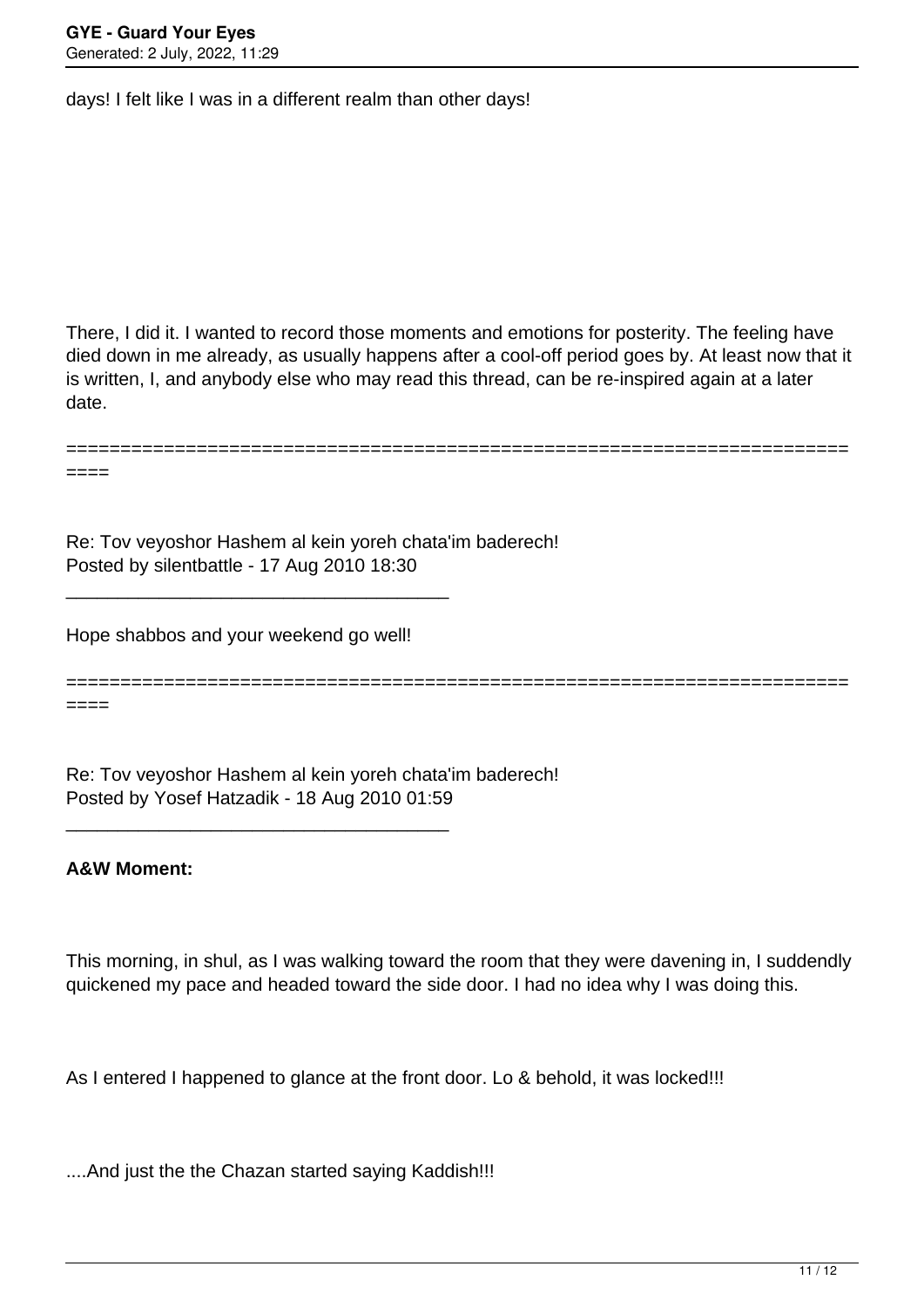days! I felt like I was in a different realm than other days!

There, I did it. I wanted to record those moments and emotions for posterity. The feeling have died down in me already, as usually happens after a cool-off period goes by. At least now that it is written, I, and anybody else who may read this thread, can be re-inspired again at a later date.

Re: Tov veyoshor Hashem al kein yoreh chata'im baderech! Posted by silentbattle - 17 Aug 2010 18:30

Hope shabbos and your weekend go well!

\_\_\_\_\_\_\_\_\_\_\_\_\_\_\_\_\_\_\_\_\_\_\_\_\_\_\_\_\_\_\_\_\_\_\_\_\_

\_\_\_\_\_\_\_\_\_\_\_\_\_\_\_\_\_\_\_\_\_\_\_\_\_\_\_\_\_\_\_\_\_\_\_\_\_

==============================

========================================================================

====

====

Re: Tov veyoshor Hashem al kein yoreh chata'im baderech! Posted by Yosef Hatzadik - 18 Aug 2010 01:59

## **A&W Moment:**

This morning, in shul, as I was walking toward the room that they were davening in, I suddendly quickened my pace and headed toward the side door. I had no idea why I was doing this.

As I entered I happened to glance at the front door. Lo & behold, it was locked!!!

....And just the the Chazan started saying Kaddish!!!